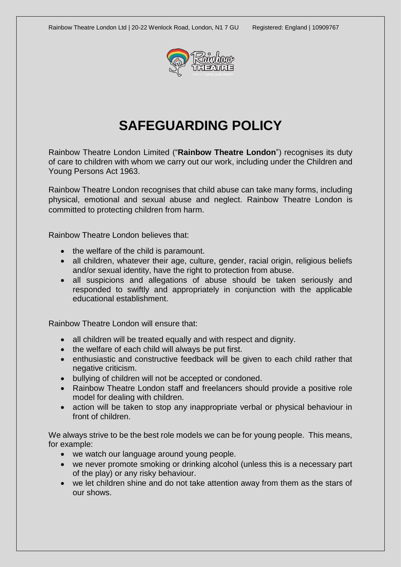

# **SAFEGUARDING POLICY**

Rainbow Theatre London Limited ("**Rainbow Theatre London**") recognises its duty of care to children with whom we carry out our work, including under the Children and Young Persons Act 1963.

Rainbow Theatre London recognises that child abuse can take many forms, including physical, emotional and sexual abuse and neglect. Rainbow Theatre London is committed to protecting children from harm.

Rainbow Theatre London believes that:

- the welfare of the child is paramount.
- all children, whatever their age, culture, gender, racial origin, religious beliefs and/or sexual identity, have the right to protection from abuse.
- all suspicions and allegations of abuse should be taken seriously and responded to swiftly and appropriately in conjunction with the applicable educational establishment.

Rainbow Theatre London will ensure that:

- all children will be treated equally and with respect and dignity.
- the welfare of each child will always be put first.
- enthusiastic and constructive feedback will be given to each child rather that negative criticism.
- bullying of children will not be accepted or condoned.
- Rainbow Theatre London staff and freelancers should provide a positive role model for dealing with children.
- action will be taken to stop any inappropriate verbal or physical behaviour in front of children.

We always strive to be the best role models we can be for young people. This means, for example:

- we watch our language around young people.
- we never promote smoking or drinking alcohol (unless this is a necessary part of the play) or any risky behaviour.
- we let children shine and do not take attention away from them as the stars of our shows.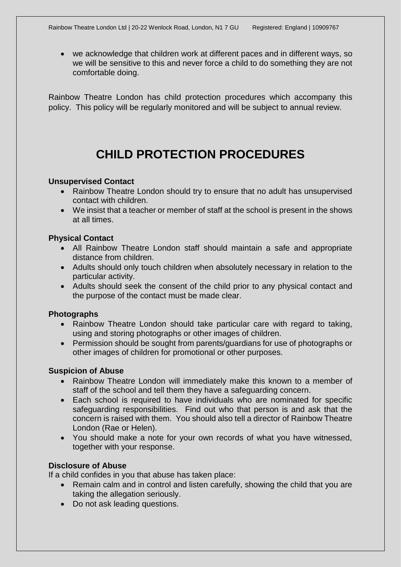• we acknowledge that children work at different paces and in different ways, so we will be sensitive to this and never force a child to do something they are not comfortable doing.

Rainbow Theatre London has child protection procedures which accompany this policy. This policy will be regularly monitored and will be subject to annual review.

# **CHILD PROTECTION PROCEDURES**

#### **Unsupervised Contact**

- Rainbow Theatre London should try to ensure that no adult has unsupervised contact with children.
- We insist that a teacher or member of staff at the school is present in the shows at all times.

### **Physical Contact**

- All Rainbow Theatre London staff should maintain a safe and appropriate distance from children.
- Adults should only touch children when absolutely necessary in relation to the particular activity.
- Adults should seek the consent of the child prior to any physical contact and the purpose of the contact must be made clear.

#### **Photographs**

- Rainbow Theatre London should take particular care with regard to taking, using and storing photographs or other images of children.
- Permission should be sought from parents/guardians for use of photographs or other images of children for promotional or other purposes.

#### **Suspicion of Abuse**

- Rainbow Theatre London will immediately make this known to a member of staff of the school and tell them they have a safeguarding concern.
- Each school is required to have individuals who are nominated for specific safeguarding responsibilities. Find out who that person is and ask that the concern is raised with them. You should also tell a director of Rainbow Theatre London (Rae or Helen).
- You should make a note for your own records of what you have witnessed, together with your response.

## **Disclosure of Abuse**

If a child confides in you that abuse has taken place:

- Remain calm and in control and listen carefully, showing the child that you are taking the allegation seriously.
- Do not ask leading questions.